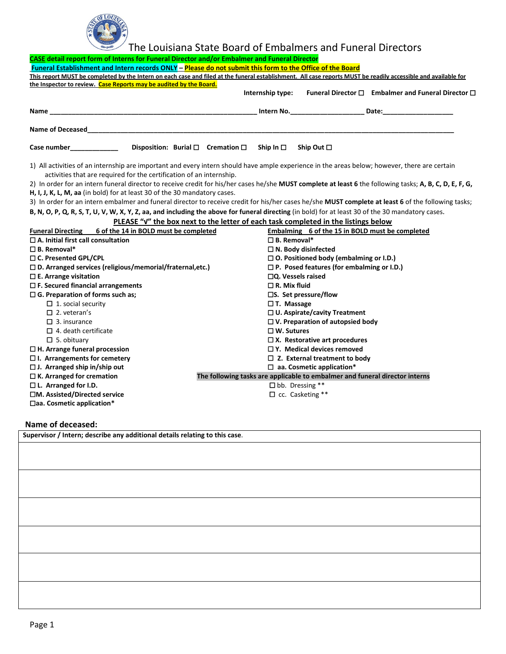

## The Louisiana State Board of Embalmers and Funeral Directors

| CASE detail report form of Interns for Funeral Director and/or Embalmer and Funeral Director |                                                                                                                                                                                                                       |  |                                                     |                                                                                  |                                                                                                                                                                |  |
|----------------------------------------------------------------------------------------------|-----------------------------------------------------------------------------------------------------------------------------------------------------------------------------------------------------------------------|--|-----------------------------------------------------|----------------------------------------------------------------------------------|----------------------------------------------------------------------------------------------------------------------------------------------------------------|--|
|                                                                                              | Funeral Establishment and Intern records ONLY - Please do not submit this form to the Office of the Board                                                                                                             |  |                                                     |                                                                                  |                                                                                                                                                                |  |
|                                                                                              |                                                                                                                                                                                                                       |  |                                                     |                                                                                  | This report MUST be completed by the Intern on each case and filed at the funeral establishment. All case reports MUST be readily accessible and available for |  |
|                                                                                              | the Inspector to review. Case Reports may be audited by the Board.                                                                                                                                                    |  |                                                     |                                                                                  |                                                                                                                                                                |  |
|                                                                                              |                                                                                                                                                                                                                       |  | Internship type:                                    |                                                                                  | Funeral Director $\square$ Embalmer and Funeral Director $\square$                                                                                             |  |
| Name_                                                                                        |                                                                                                                                                                                                                       |  |                                                     | _Intern No. _____________________________ Date:_________________________________ |                                                                                                                                                                |  |
|                                                                                              | Name of Deceased and the state of the state of the state of the state of the state of the state of the state o                                                                                                        |  |                                                     |                                                                                  |                                                                                                                                                                |  |
| Case number <b>Example 20</b>                                                                | Disposition: Burial $\square$ Cremation $\square$ Ship In $\square$ Ship Out $\square$                                                                                                                                |  |                                                     |                                                                                  |                                                                                                                                                                |  |
|                                                                                              | 1) All activities of an internship are important and every intern should have ample experience in the areas below; however, there are certain<br>activities that are required for the certification of an internship. |  |                                                     |                                                                                  |                                                                                                                                                                |  |
|                                                                                              |                                                                                                                                                                                                                       |  |                                                     |                                                                                  | 2) In order for an intern funeral director to receive credit for his/her cases he/she MUST complete at least 6 the following tasks; A, B, C, D, E, F, G,       |  |
|                                                                                              | H, I, J, K, L, M, aa (in bold) for at least 30 of the 30 mandatory cases.                                                                                                                                             |  |                                                     |                                                                                  |                                                                                                                                                                |  |
|                                                                                              |                                                                                                                                                                                                                       |  |                                                     |                                                                                  | 3) In order for an intern embalmer and funeral director to receive credit for his/her cases he/she MUST complete at least 6 of the following tasks;            |  |
|                                                                                              | B, N, O, P, Q, R, S, T, U, V, W, X, Y, Z, aa, and including the above for funeral directing (in bold) for at least 30 of the 30 mandatory cases.                                                                      |  |                                                     |                                                                                  |                                                                                                                                                                |  |
|                                                                                              | PLEASE "V" the box next to the letter of each task completed in the listings below                                                                                                                                    |  |                                                     |                                                                                  |                                                                                                                                                                |  |
|                                                                                              | Funeral Directing 6 of the 14 in BOLD must be completed                                                                                                                                                               |  |                                                     | Embalming 6 of the 15 in BOLD must be completed                                  |                                                                                                                                                                |  |
| $\square$ A. Initial first call consultation                                                 |                                                                                                                                                                                                                       |  | $\square$ B. Removal*                               |                                                                                  |                                                                                                                                                                |  |
| $\square$ B. Removal*                                                                        |                                                                                                                                                                                                                       |  |                                                     | $\Box$ N. Body disinfected                                                       |                                                                                                                                                                |  |
| □ C. Presented GPL/CPL                                                                       |                                                                                                                                                                                                                       |  | $\square$ O. Positioned body (embalming or I.D.)    |                                                                                  |                                                                                                                                                                |  |
| $\square$ D. Arranged services (religious/memorial/fraternal,etc.)                           |                                                                                                                                                                                                                       |  | $\square$ P. Posed features (for embalming or I.D.) |                                                                                  |                                                                                                                                                                |  |
| $\square$ E. Arrange visitation                                                              |                                                                                                                                                                                                                       |  | $\square$ Q. Vessels raised                         |                                                                                  |                                                                                                                                                                |  |
| $\square$ F. Secured financial arrangements                                                  |                                                                                                                                                                                                                       |  | $\Box$ R. Mix fluid                                 |                                                                                  |                                                                                                                                                                |  |
| $\Box$ G. Preparation of forms such as;                                                      |                                                                                                                                                                                                                       |  |                                                     | $\square$ S. Set pressure/flow                                                   |                                                                                                                                                                |  |
| $\Box$ 1. social security                                                                    |                                                                                                                                                                                                                       |  | □ T. Massage                                        |                                                                                  |                                                                                                                                                                |  |
| $\Box$ 2. veteran's                                                                          |                                                                                                                                                                                                                       |  |                                                     | $\Box$ U. Aspirate/cavity Treatment                                              |                                                                                                                                                                |  |
| $\Box$ 3. insurance                                                                          |                                                                                                                                                                                                                       |  |                                                     | $\Box$ V. Preparation of autopsied body                                          |                                                                                                                                                                |  |
| $\Box$ 4. death certificate                                                                  |                                                                                                                                                                                                                       |  | $\Box$ W. Sutures                                   |                                                                                  |                                                                                                                                                                |  |
| $\Box$ 5. obituary                                                                           |                                                                                                                                                                                                                       |  |                                                     | $\square$ X. Restorative art procedures                                          |                                                                                                                                                                |  |
| $\Box$ H. Arrange funeral procession                                                         |                                                                                                                                                                                                                       |  |                                                     | $\Box$ Y. Medical devices removed                                                |                                                                                                                                                                |  |
| $\Box$ I. Arrangements for cemetery                                                          |                                                                                                                                                                                                                       |  | $\Box$ Z. External treatment to body                |                                                                                  |                                                                                                                                                                |  |
| $\square$ J. Arranged ship in/ship out                                                       |                                                                                                                                                                                                                       |  |                                                     | $\Box$ aa. Cosmetic application*                                                 |                                                                                                                                                                |  |
| $\Box$ K. Arranged for cremation                                                             |                                                                                                                                                                                                                       |  |                                                     | The following tasks are applicable to embalmer and funeral director interns      |                                                                                                                                                                |  |
| $\square$ L. Arranged for I.D.                                                               |                                                                                                                                                                                                                       |  |                                                     | $\Box$ bb. Dressing **                                                           |                                                                                                                                                                |  |
| □M. Assisted/Directed service                                                                |                                                                                                                                                                                                                       |  |                                                     | $\Box$ cc. Casketing **                                                          |                                                                                                                                                                |  |
| $\Box$ aa. Cosmetic application*                                                             |                                                                                                                                                                                                                       |  |                                                     |                                                                                  |                                                                                                                                                                |  |

**Name of deceased:** 

| 1.141112212222221<br>Supervisor / Intern; describe any additional details relating to this case. |  |  |  |  |  |
|--------------------------------------------------------------------------------------------------|--|--|--|--|--|
|                                                                                                  |  |  |  |  |  |
|                                                                                                  |  |  |  |  |  |
|                                                                                                  |  |  |  |  |  |
|                                                                                                  |  |  |  |  |  |
|                                                                                                  |  |  |  |  |  |
|                                                                                                  |  |  |  |  |  |
|                                                                                                  |  |  |  |  |  |
|                                                                                                  |  |  |  |  |  |
|                                                                                                  |  |  |  |  |  |
|                                                                                                  |  |  |  |  |  |
|                                                                                                  |  |  |  |  |  |
|                                                                                                  |  |  |  |  |  |
|                                                                                                  |  |  |  |  |  |
|                                                                                                  |  |  |  |  |  |